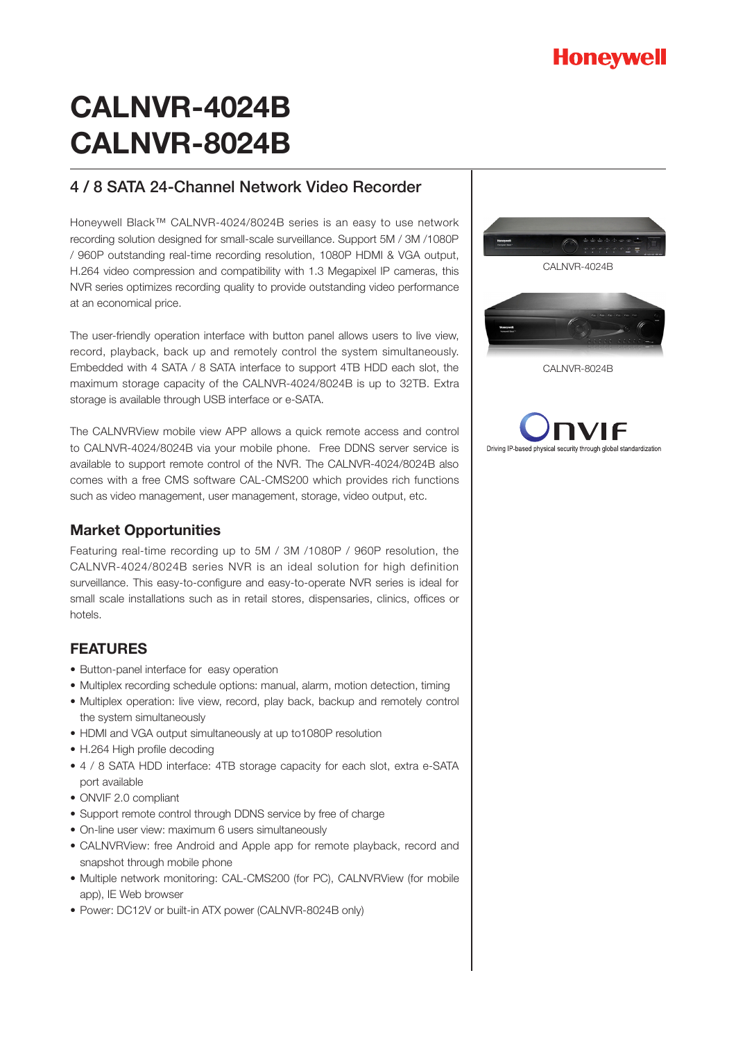## **Honeywell**

# **CALNVR-4024B CALNVR-8024B**

### 4 / 8 SATA 24-Channel Network Video Recorder

Honeywell Black™ CALNVR-4024/8024B series is an easy to use network recording solution designed for small-scale surveillance. Support 5M / 3M /1080P / 960P outstanding real-time recording resolution, 1080P HDMI & VGA output, H.264 video compression and compatibility with 1.3 Megapixel IP cameras, this NVR series optimizes recording quality to provide outstanding video performance at an economical price.

The user-friendly operation interface with button panel allows users to live view, record, playback, back up and remotely control the system simultaneously. Embedded with 4 SATA / 8 SATA interface to support 4TB HDD each slot, the maximum storage capacity of the CALNVR-4024/8024B is up to 32TB. Extra storage is available through USB interface or e-SATA.

The CALNVRView mobile view APP allows a quick remote access and control to CALNVR-4024/8024B via your mobile phone. Free DDNS server service is available to support remote control of the NVR. The CALNVR-4024/8024B also comes with a free CMS software CAL-CMS200 which provides rich functions such as video management, user management, storage, video output, etc.

### **Market Opportunities**

Featuring real-time recording up to 5M / 3M /1080P / 960P resolution, the CALNVR-4024/8024B series NVR is an ideal solution for high definition surveillance. This easy-to-configure and easy-to-operate NVR series is ideal for small scale installations such as in retail stores, dispensaries, clinics, offices or hotels.

### **FEATURES**

- Button-panel interface for easy operation
- Multiplex recording schedule options: manual, alarm, motion detection, timing
- Multiplex operation: live view, record, play back, backup and remotely control the system simultaneously
- HDMI and VGA output simultaneously at up to1080P resolution
- H.264 High profile decoding
- 4 / 8 SATA HDD interface: 4TB storage capacity for each slot, extra e-SATA port available
- ONVIF 2.0 compliant
- Support remote control through DDNS service by free of charge
- On-line user view: maximum 6 users simultaneously
- CALNVRView: free Android and Apple app for remote playback, record and snapshot through mobile phone
- Multiple network monitoring: CAL-CMS200 (for PC), CALNVRView (for mobile app), IE Web browser
- Power: DC12V or built-in ATX power (CALNVR-8024B only)

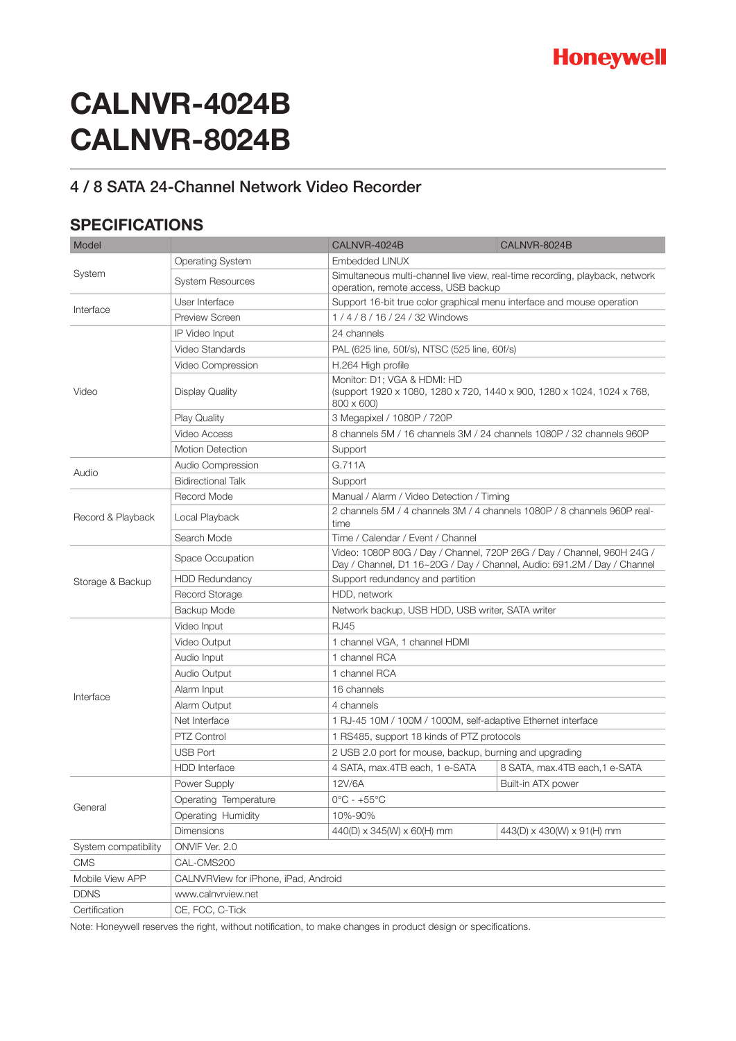# **CALNVR-4024B CALNVR-8024B**

### 4 / 8 SATA 24-Channel Network Video Recorder

### **SPECIFICATIONS**

| Model                |                                      | CALNVR-4024B                                                                                                                                      | CALNVR-8024B                  |
|----------------------|--------------------------------------|---------------------------------------------------------------------------------------------------------------------------------------------------|-------------------------------|
| System               | <b>Operating System</b>              | Embedded LINUX                                                                                                                                    |                               |
|                      | <b>System Resources</b>              | Simultaneous multi-channel live view, real-time recording, playback, network<br>operation, remote access, USB backup                              |                               |
| Interface            | User Interface                       | Support 16-bit true color graphical menu interface and mouse operation                                                                            |                               |
|                      | <b>Preview Screen</b>                | 1/4/8/16/24/32 Windows                                                                                                                            |                               |
| Video                | IP Video Input                       | 24 channels                                                                                                                                       |                               |
|                      | Video Standards                      | PAL (625 line, 50f/s), NTSC (525 line, 60f/s)                                                                                                     |                               |
|                      | Video Compression                    | H.264 High profile                                                                                                                                |                               |
|                      | Display Quality                      | Monitor: D1; VGA & HDMI: HD<br>(support 1920 x 1080, 1280 x 720, 1440 x 900, 1280 x 1024, 1024 x 768,<br>800 x 600)                               |                               |
|                      | <b>Play Quality</b>                  | 3 Megapixel / 1080P / 720P                                                                                                                        |                               |
|                      | Video Access                         | 8 channels 5M / 16 channels 3M / 24 channels 1080P / 32 channels 960P                                                                             |                               |
|                      | <b>Motion Detection</b>              | Support                                                                                                                                           |                               |
|                      | Audio Compression                    | G.711A                                                                                                                                            |                               |
| Audio                | <b>Bidirectional Talk</b>            | Support                                                                                                                                           |                               |
| Record & Playback    | Record Mode                          | Manual / Alarm / Video Detection / Timing                                                                                                         |                               |
|                      | Local Playback                       | 2 channels 5M / 4 channels 3M / 4 channels 1080P / 8 channels 960P real-<br>time                                                                  |                               |
|                      | Search Mode                          | Time / Calendar / Event / Channel                                                                                                                 |                               |
| Storage & Backup     | Space Occupation                     | Video: 1080P 80G / Day / Channel, 720P 26G / Day / Channel, 960H 24G /<br>Day / Channel, D1 16~20G / Day / Channel, Audio: 691.2M / Day / Channel |                               |
|                      | <b>HDD Redundancy</b>                | Support redundancy and partition                                                                                                                  |                               |
|                      | Record Storage                       | HDD, network                                                                                                                                      |                               |
|                      | Backup Mode                          | Network backup, USB HDD, USB writer, SATA writer                                                                                                  |                               |
|                      | Video Input                          | <b>RJ45</b>                                                                                                                                       |                               |
|                      | Video Output                         | 1 channel VGA, 1 channel HDMI                                                                                                                     |                               |
|                      | Audio Input                          | 1 channel RCA                                                                                                                                     |                               |
|                      | Audio Output                         | 1 channel RCA                                                                                                                                     |                               |
| Interface            | Alarm Input                          | 16 channels                                                                                                                                       |                               |
|                      | Alarm Output                         | 4 channels                                                                                                                                        |                               |
|                      | Net Interface                        | 1 RJ-45 10M / 100M / 1000M, self-adaptive Ethernet interface                                                                                      |                               |
|                      | PTZ Control                          | 1 RS485, support 18 kinds of PTZ protocols                                                                                                        |                               |
|                      | <b>USB Port</b>                      | 2 USB 2.0 port for mouse, backup, burning and upgrading                                                                                           |                               |
|                      | <b>HDD</b> Interface                 | 4 SATA, max.4TB each, 1 e-SATA                                                                                                                    | 8 SATA, max.4TB each,1 e-SATA |
| General              | Power Supply                         | 12V/6A                                                                                                                                            | Built-in ATX power            |
|                      | Operating Temperature                | $0^{\circ}$ C - +55 $^{\circ}$ C                                                                                                                  |                               |
|                      | Operating Humidity                   | 10%-90%                                                                                                                                           |                               |
|                      | <b>Dimensions</b>                    | 440(D) x 345(W) x 60(H) mm                                                                                                                        | 443(D) x 430(W) x 91(H) mm    |
| System compatibility | ONVIF Ver. 2.0                       |                                                                                                                                                   |                               |
| <b>CMS</b>           | CAL-CMS200                           |                                                                                                                                                   |                               |
| Mobile View APP      | CALNVRView for iPhone, iPad, Android |                                                                                                                                                   |                               |
| <b>DDNS</b>          | www.calnvrview.net                   |                                                                                                                                                   |                               |
| Certification        | CE, FCC, C-Tick                      |                                                                                                                                                   |                               |

Note: Honeywell reserves the right, without notification, to make changes in product design or specifications.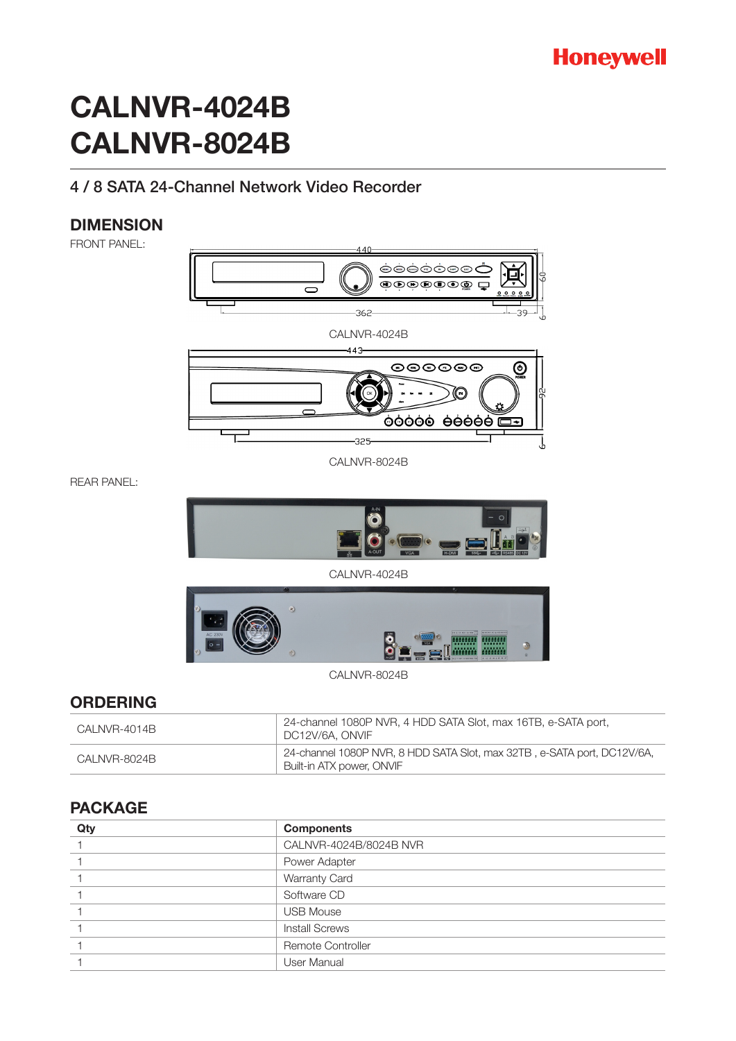

# **CALNVR-4024B CALNVR-8024B**

### 4 / 8 SATA 24-Channel Network Video Recorder

### **DIMENSION**

FRONT PANEL:



REAR PANEL:



CALNVR-4024B



CALNVR-8024B

### **ORDERING**

| CALNVR-4014B | 24-channel 1080P NVR, 4 HDD SATA Slot, max 16TB, e-SATA port,<br>DC12V/6A, ONVIF                     |  |
|--------------|------------------------------------------------------------------------------------------------------|--|
| CALNVR-8024B | 24-channel 1080P NVR, 8 HDD SATA Slot, max 32TB, e-SATA port, DC12V/6A,<br>Built-in ATX power, ONVIF |  |

### **PACKAGE**

| Qty | <b>Components</b>      |
|-----|------------------------|
|     | CALNVR-4024B/8024B NVR |
|     | Power Adapter          |
|     | Warranty Card          |
|     | Software CD            |
|     | <b>USB Mouse</b>       |
|     | <b>Install Screws</b>  |
|     | Remote Controller      |
|     | <b>User Manual</b>     |